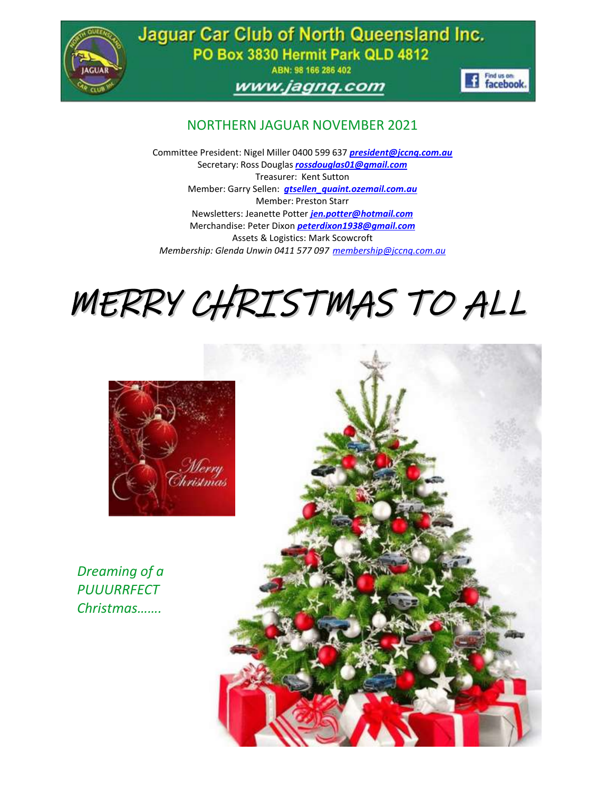

Jaguar Car Club of North Queensland Inc. PO Box 3830 Hermit Park QLD 4812

ABN: 98 166 286 402

## www.jagnq.com



## NORTHERN JAGUAR NOVEMBER 2021

Committee President: Nigel Miller 0400 599 637 *[president@jccnq.com.au](mailto:president@jccnq.com.au)* Secretary: Ross Douglas *[rossdouglas01@gmail.com](mailto:rossdouglas01@gmail.com)* Treasurer: Kent Sutton Member: Garry Sellen: *gtsellen\_quaint.ozemail.com.au* Member: Preston Starr Newsletters: Jeanette Potter *[jen.potter@hotmail.com](mailto:jen.potter@hotmail.com)* Merchandise: Peter Dixon *[peterdixon1938@gmail.com](mailto:peterdixon1938@gmail.com)* Assets & Logistics: Mark Scowcroft *Membership: Glenda Unwin 0411 577 097 [membership@jccnq.com.au](mailto:membership@jccnq.com.au)*

# MERRY CHRISTMAS TO ALL



*Dreaming of a PUUURRFECT Christmas…….*

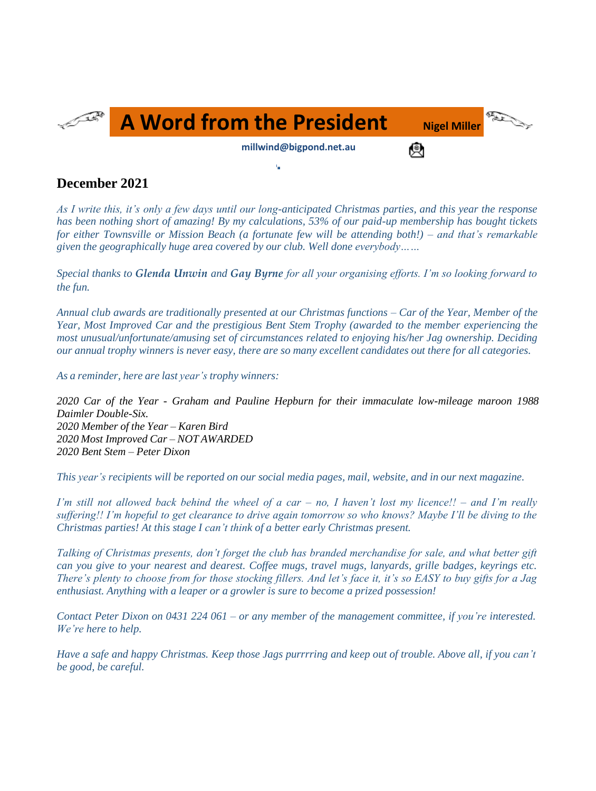

## **December 2021**

*As I write this, it's only a few days until our long-anticipated Christmas parties, and this year the response has been nothing short of amazing! By my calculations, 53% of our paid-up membership has bought tickets for either Townsville or Mission Beach (a fortunate few will be attending both!) – and that's remarkable given the geographically huge area covered by our club. Well done everybody……*

*Special thanks to Glenda Unwin and Gay Byrne for all your organising efforts. I'm so looking forward to the fun.*

*Annual club awards are traditionally presented at our Christmas functions – Car of the Year, Member of the Year, Most Improved Car and the prestigious Bent Stem Trophy (awarded to the member experiencing the most unusual/unfortunate/amusing set of circumstances related to enjoying his/her Jag ownership. Deciding* our annual trophy winners is never easy, there are so many excellent candidates out there for all categories.

*As a reminder, here are last year's trophy winners:*

*2020 Car of the Year - Graham and Pauline Hepburn for their immaculate low-mileage maroon 1988 Daimler Double-Six. 2020 Member of the Year – Karen Bird 2020 Most Improved Car – NOT AWARDED 2020 Bent Stem – Peter Dixon*

This year's recipients will be reported on our social media pages, mail, website, and in our next magazine.

*I'm still not allowed back behind the wheel of a car – no, I haven't lost my licence!! – and I'm really suffering!! I'm hopeful to get clearance to drive again tomorrow so who knows? Maybe I'll be diving to the Christmas parties! At this stage I can't think of a better early Christmas present.*

*Talking of Christmas presents, don't forget the club has branded merchandise for sale, and what better gift can you give to your nearest and dearest. Coffee mugs, travel mugs, lanyards, grille badges, keyrings etc. There's plenty to choose from for those stocking fillers. And let's face it, it's so EASY to buy gifts for a Jag enthusiast. Anything with a leaper or a growler is sure to become a prized possession!*

Contact Peter Dixon on 0431 224 061 – or any member of the management committee, if you're interested. *We're here to help.*

*Have a safe and happy Christmas. Keep those Jags purrrring and keep out of trouble. Above all, if you can't be good, be careful.*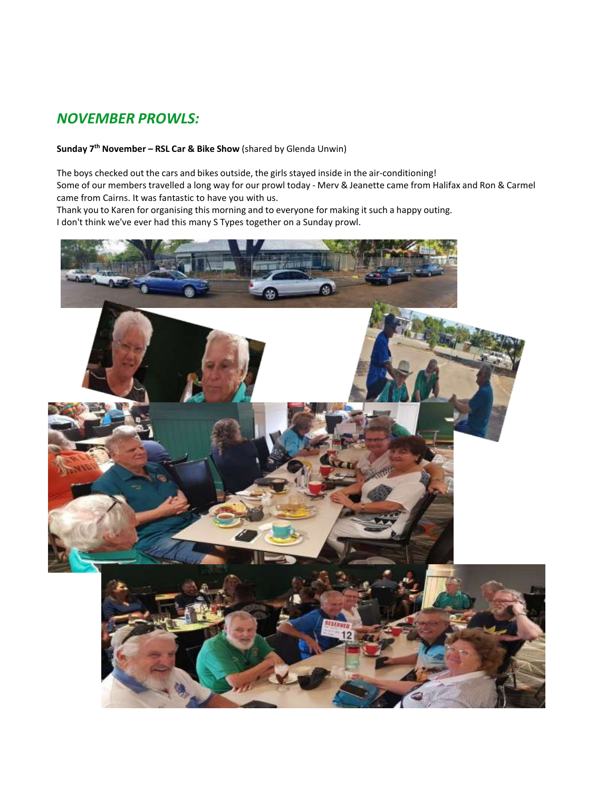# *NOVEMBER PROWLS:*

## **Sunday 7 th November – RSL Car & Bike Show** (shared by Glenda Unwin)

The boys checked out the cars and bikes outside, the girls stayed inside in the air-conditioning! Some of our members travelled a long way for our prowl today - Merv & Jeanette came from Halifax and Ron & Carmel came from Cairns. It was fantastic to have you with us.

Thank you to Karen for organising this morning and to everyone for making it such a happy outing. I don't think we've ever had this many S Types together on a Sunday prowl.

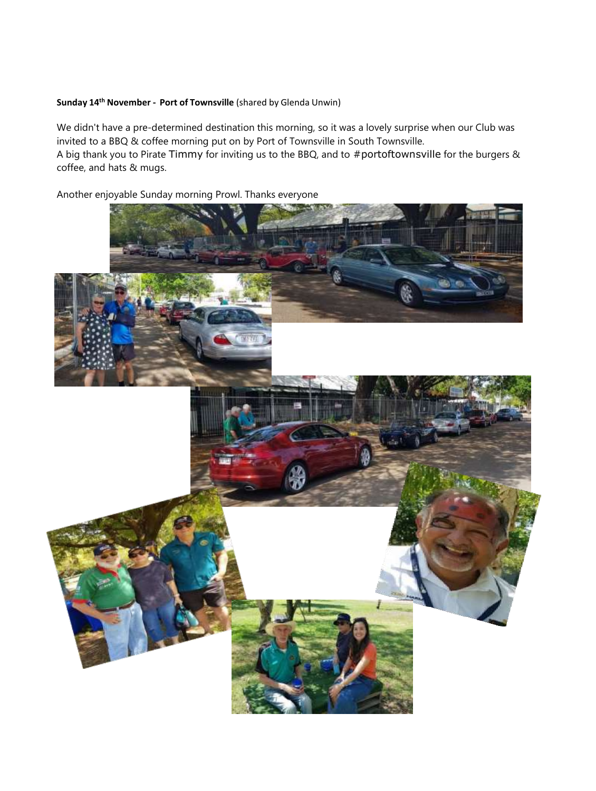### **Sunday 14th November - Port of Townsville** (shared by Glenda Unwin)

We didn't have a pre-determined destination this morning, so it was a lovely surprise when our Club was invited to a BBQ & coffee morning put on by Port of Townsville in South Townsville. A big thank you to Pirate [Timmy](https://www.facebook.com/groups/240631386410111/user/745845000/?__cft__%5B0%5D=AZXIZF1HbN8Xw9Bb5W1ti_-DN_Due6g0ZsJjkZ598qtP1x4S54MeLfF415MkvOFQWkPdaZbhQuxR_HYTdNNpHhRemZBx2H2kLILs5CuWZmAH0QQtcPiC_NkcfMSo7a-HjAQf9LCslXqC1CIMoEckYAV7VbraoFKmKY3a44QTNN33cCUDSUylr6G_EQL9R3Kz6AU&__tn__=-%5DK-R) for inviting us to the BBQ, and to [#portoftownsville](https://www.facebook.com/hashtag/portoftownsville?__eep__=6&__gid__=240631386410111&__cft__%5B0%5D=AZXIZF1HbN8Xw9Bb5W1ti_-DN_Due6g0ZsJjkZ598qtP1x4S54MeLfF415MkvOFQWkPdaZbhQuxR_HYTdNNpHhRemZBx2H2kLILs5CuWZmAH0QQtcPiC_NkcfMSo7a-HjAQf9LCslXqC1CIMoEckYAV7VbraoFKmKY3a44QTNN33cCUDSUylr6G_EQL9R3Kz6AU&__tn__=%2ANK-R) for the burgers &

coffee, and hats & mugs.

Another enjoyable Sunday morning Prowl. Thanks everyone

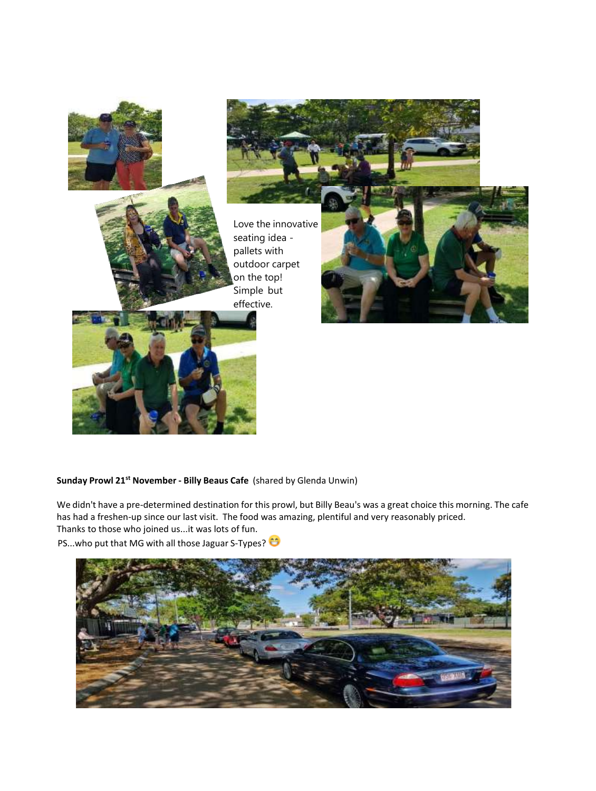

#### **Sunday Prowl 21st November - Billy Beaus Cafe** (shared by Glenda Unwin)

We didn't have a pre-determined destination for this prowl, but Billy Beau's was a great choice this morning. The cafe has had a freshen-up since our last visit. The food was amazing, plentiful and very reasonably priced. Thanks to those who joined us...it was lots of fun.

PS...who put that MG with all those Jaguar S-Types?

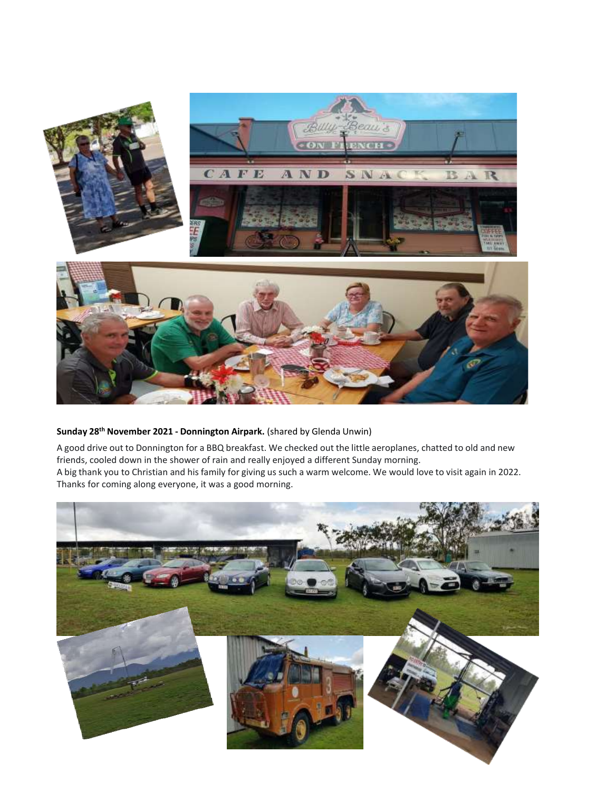

#### **Sunday 28th November 2021 - Donnington Airpark.** (shared by Glenda Unwin)

A good drive out to Donnington for a BBQ breakfast. We checked out the little aeroplanes, chatted to old and new friends, cooled down in the shower of rain and really enjoyed a different Sunday morning. A big thank you to Christian and his family for giving us such a warm welcome. We would love to visit again in 2022. Thanks for coming along everyone, it was a good morning.